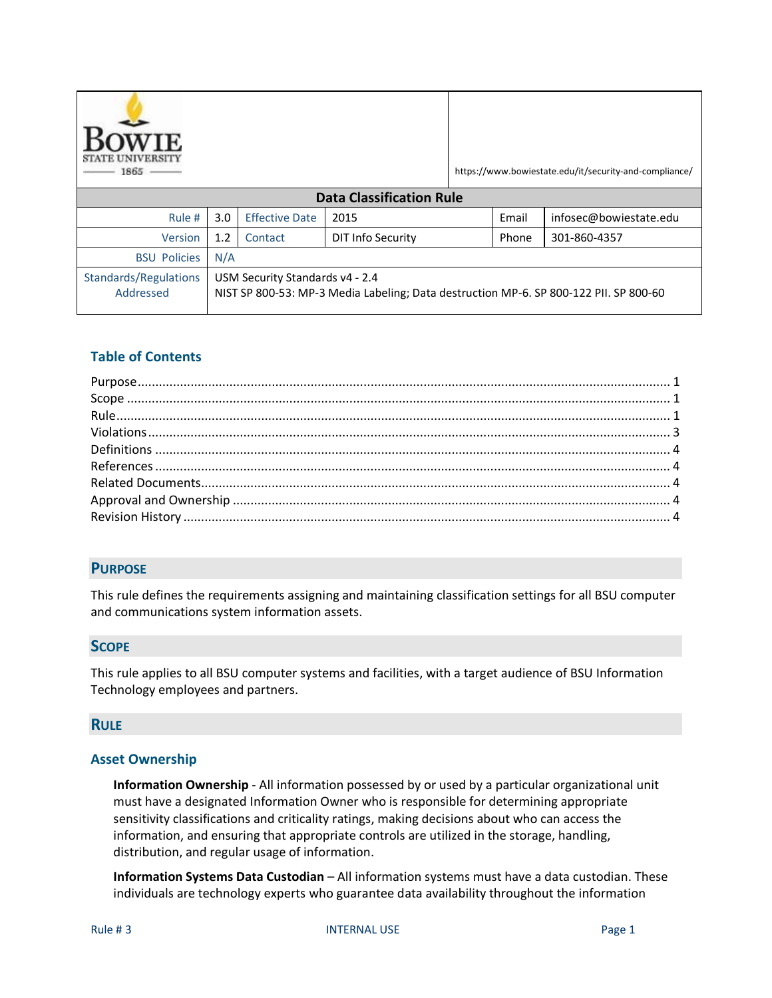

https://www.bowiestate.edu/it/security-and-compliance/

| <b>Data Classification Rule</b>           |                                                                                                                          |                       |                   |       |                        |  |  |  |
|-------------------------------------------|--------------------------------------------------------------------------------------------------------------------------|-----------------------|-------------------|-------|------------------------|--|--|--|
| Rule #                                    | 3.0 <sub>1</sub>                                                                                                         | <b>Effective Date</b> | 2015              | Email | infosec@bowiestate.edu |  |  |  |
| Version                                   | 1.2                                                                                                                      | Contact               | DIT Info Security | Phone | 301-860-4357           |  |  |  |
| <b>BSU Policies</b>                       | N/A                                                                                                                      |                       |                   |       |                        |  |  |  |
| <b>Standards/Regulations</b><br>Addressed | USM Security Standards v4 - 2.4<br>NIST SP 800-53: MP-3 Media Labeling; Data destruction MP-6. SP 800-122 PII. SP 800-60 |                       |                   |       |                        |  |  |  |

# **Table of Contents**

# <span id="page-0-0"></span>**PURPOSE**

This rule defines the requirements assigning and maintaining classification settings for all BSU computer and communications system information assets.

# <span id="page-0-1"></span>**SCOPE**

This rule applies to all BSU computer systems and facilities, with a target audience of BSU Information Technology employees and partners.

### <span id="page-0-2"></span>**RULE**

### **Asset Ownership**

**Information Ownership** - All information possessed by or used by a particular organizational unit must have a designated Information Owner who is responsible for determining appropriate sensitivity classifications and criticality ratings, making decisions about who can access the information, and ensuring that appropriate controls are utilized in the storage, handling, distribution, and regular usage of information.

**Information Systems Data Custodian** – All information systems must have a data custodian. These individuals are technology experts who guarantee data availability throughout the information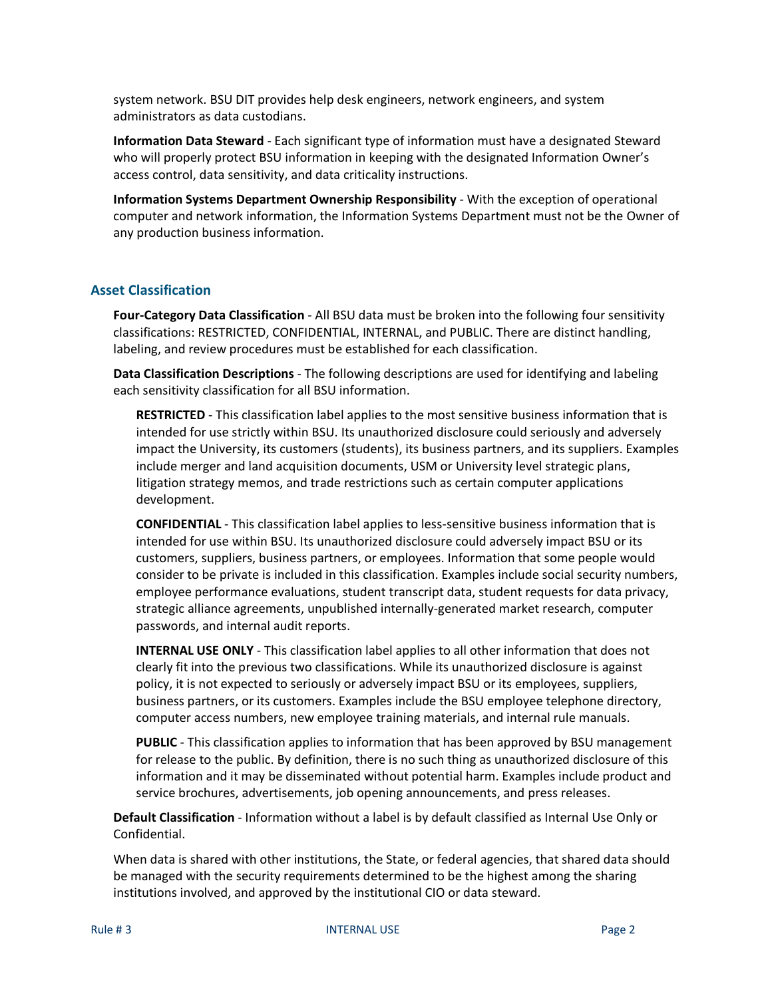system network. BSU DIT provides help desk engineers, network engineers, and system administrators as data custodians.

**Information Data Steward** - Each significant type of information must have a designated Steward who will properly protect BSU information in keeping with the designated Information Owner's access control, data sensitivity, and data criticality instructions.

**Information Systems Department Ownership Responsibility** - With the exception of operational computer and network information, the Information Systems Department must not be the Owner of any production business information.

# **Asset Classification**

**Four-Category Data Classification** - All BSU data must be broken into the following four sensitivity classifications: RESTRICTED, CONFIDENTIAL, INTERNAL, and PUBLIC. There are distinct handling, labeling, and review procedures must be established for each classification.

**Data Classification Descriptions** - The following descriptions are used for identifying and labeling each sensitivity classification for all BSU information.

**RESTRICTED** - This classification label applies to the most sensitive business information that is intended for use strictly within BSU. Its unauthorized disclosure could seriously and adversely impact the University, its customers (students), its business partners, and its suppliers. Examples include merger and land acquisition documents, USM or University level strategic plans, litigation strategy memos, and trade restrictions such as certain computer applications development.

**CONFIDENTIAL** - This classification label applies to less-sensitive business information that is intended for use within BSU. Its unauthorized disclosure could adversely impact BSU or its customers, suppliers, business partners, or employees. Information that some people would consider to be private is included in this classification. Examples include social security numbers, employee performance evaluations, student transcript data, student requests for data privacy, strategic alliance agreements, unpublished internally-generated market research, computer passwords, and internal audit reports.

**INTERNAL USE ONLY** - This classification label applies to all other information that does not clearly fit into the previous two classifications. While its unauthorized disclosure is against policy, it is not expected to seriously or adversely impact BSU or its employees, suppliers, business partners, or its customers. Examples include the BSU employee telephone directory, computer access numbers, new employee training materials, and internal rule manuals.

**PUBLIC** - This classification applies to information that has been approved by BSU management for release to the public. By definition, there is no such thing as unauthorized disclosure of this information and it may be disseminated without potential harm. Examples include product and service brochures, advertisements, job opening announcements, and press releases.

**Default Classification** - Information without a label is by default classified as Internal Use Only or Confidential.

When data is shared with other institutions, the State, or federal agencies, that shared data should be managed with the security requirements determined to be the highest among the sharing institutions involved, and approved by the institutional CIO or data steward.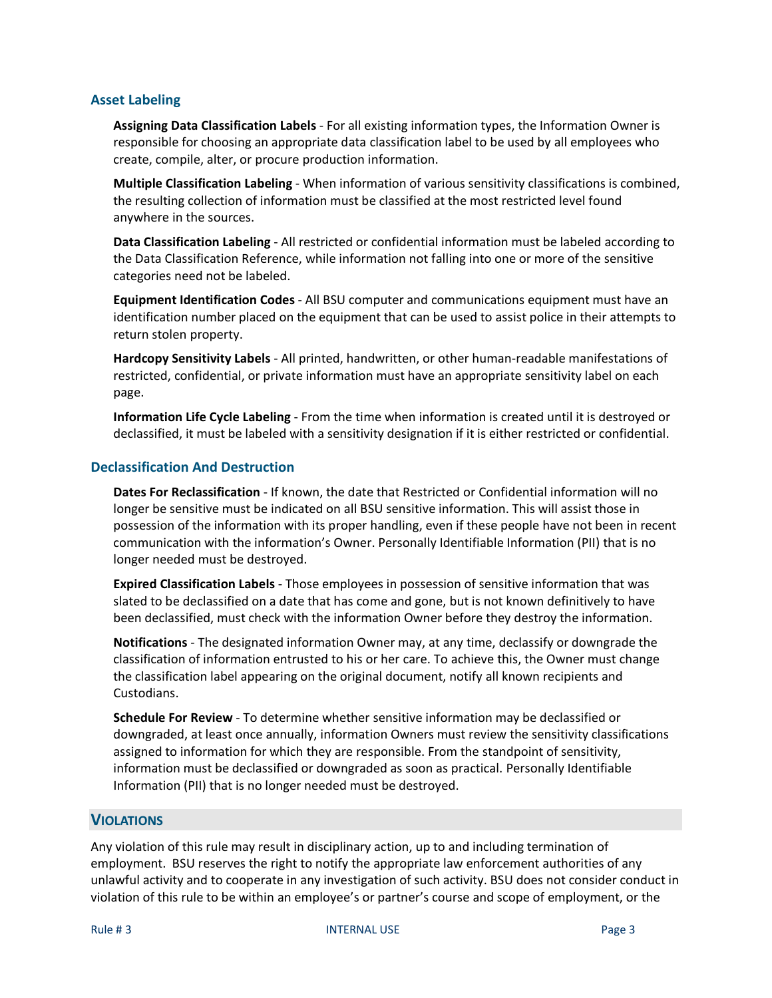# **Asset Labeling**

**Assigning Data Classification Labels** - For all existing information types, the Information Owner is responsible for choosing an appropriate data classification label to be used by all employees who create, compile, alter, or procure production information.

**Multiple Classification Labeling** - When information of various sensitivity classifications is combined, the resulting collection of information must be classified at the most restricted level found anywhere in the sources.

**Data Classification Labeling** - All restricted or confidential information must be labeled according to the Data Classification Reference, while information not falling into one or more of the sensitive categories need not be labeled.

**Equipment Identification Codes** - All BSU computer and communications equipment must have an identification number placed on the equipment that can be used to assist police in their attempts to return stolen property.

**Hardcopy Sensitivity Labels** - All printed, handwritten, or other human-readable manifestations of restricted, confidential, or private information must have an appropriate sensitivity label on each page.

**Information Life Cycle Labeling** - From the time when information is created until it is destroyed or declassified, it must be labeled with a sensitivity designation if it is either restricted or confidential.

# **Declassification And Destruction**

**Dates For Reclassification** - If known, the date that Restricted or Confidential information will no longer be sensitive must be indicated on all BSU sensitive information. This will assist those in possession of the information with its proper handling, even if these people have not been in recent communication with the information's Owner. Personally Identifiable Information (PII) that is no longer needed must be destroyed.

**Expired Classification Labels** - Those employees in possession of sensitive information that was slated to be declassified on a date that has come and gone, but is not known definitively to have been declassified, must check with the information Owner before they destroy the information.

**Notifications** - The designated information Owner may, at any time, declassify or downgrade the classification of information entrusted to his or her care. To achieve this, the Owner must change the classification label appearing on the original document, notify all known recipients and Custodians.

**Schedule For Review** - To determine whether sensitive information may be declassified or downgraded, at least once annually, information Owners must review the sensitivity classifications assigned to information for which they are responsible. From the standpoint of sensitivity, information must be declassified or downgraded as soon as practical. Personally Identifiable Information (PII) that is no longer needed must be destroyed.

# <span id="page-2-0"></span>**VIOLATIONS**

Any violation of this rule may result in disciplinary action, up to and including termination of employment. BSU reserves the right to notify the appropriate law enforcement authorities of any unlawful activity and to cooperate in any investigation of such activity. BSU does not consider conduct in violation of this rule to be within an employee's or partner's course and scope of employment, or the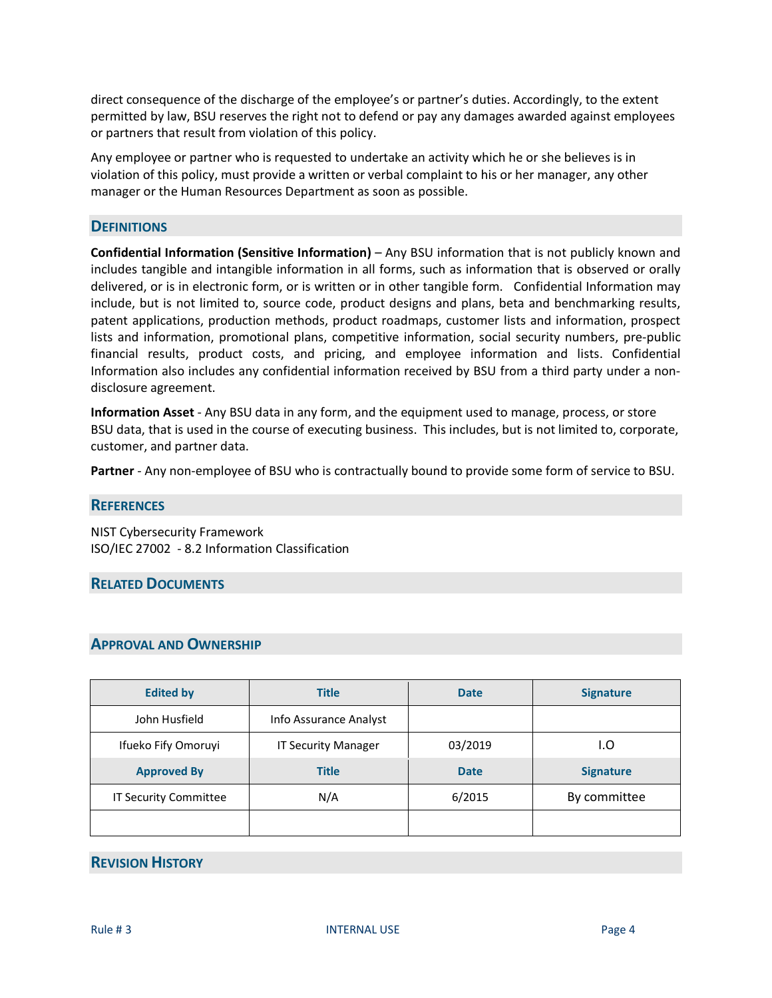direct consequence of the discharge of the employee's or partner's duties. Accordingly, to the extent permitted by law, BSU reserves the right not to defend or pay any damages awarded against employees or partners that result from violation of this policy.

Any employee or partner who is requested to undertake an activity which he or she believes is in violation of this policy, must provide a written or verbal complaint to his or her manager, any other manager or the Human Resources Department as soon as possible.

## <span id="page-3-0"></span>**DEFINITIONS**

**Confidential Information (Sensitive Information)** – Any BSU information that is not publicly known and includes tangible and intangible information in all forms, such as information that is observed or orally delivered, or is in electronic form, or is written or in other tangible form. Confidential Information may include, but is not limited to, source code, product designs and plans, beta and benchmarking results, patent applications, production methods, product roadmaps, customer lists and information, prospect lists and information, promotional plans, competitive information, social security numbers, pre-public financial results, product costs, and pricing, and employee information and lists. Confidential Information also includes any confidential information received by BSU from a third party under a nondisclosure agreement.

**Information Asset** - Any BSU data in any form, and the equipment used to manage, process, or store BSU data, that is used in the course of executing business. This includes, but is not limited to, corporate, customer, and partner data.

**Partner** - Any non-employee of BSU who is contractually bound to provide some form of service to BSU.

### <span id="page-3-1"></span>**REFERENCES**

NIST Cybersecurity Framework ISO/IEC 27002 - 8.2 Information Classification

### <span id="page-3-2"></span>**RELATED DOCUMENTS**

# <span id="page-3-3"></span>**APPROVAL AND OWNERSHIP**

| <b>Edited by</b>                   | <b>Title</b>               |             | <b>Signature</b> |
|------------------------------------|----------------------------|-------------|------------------|
| John Husfield                      | Info Assurance Analyst     |             |                  |
| Ifueko Fify Omoruyi                | <b>IT Security Manager</b> | 03/2019     | I.O              |
| <b>Approved By</b><br><b>Title</b> |                            | <b>Date</b> | <b>Signature</b> |
| IT Security Committee              | N/A                        | 6/2015      | By committee     |
|                                    |                            |             |                  |

# <span id="page-3-4"></span>**REVISION HISTORY**